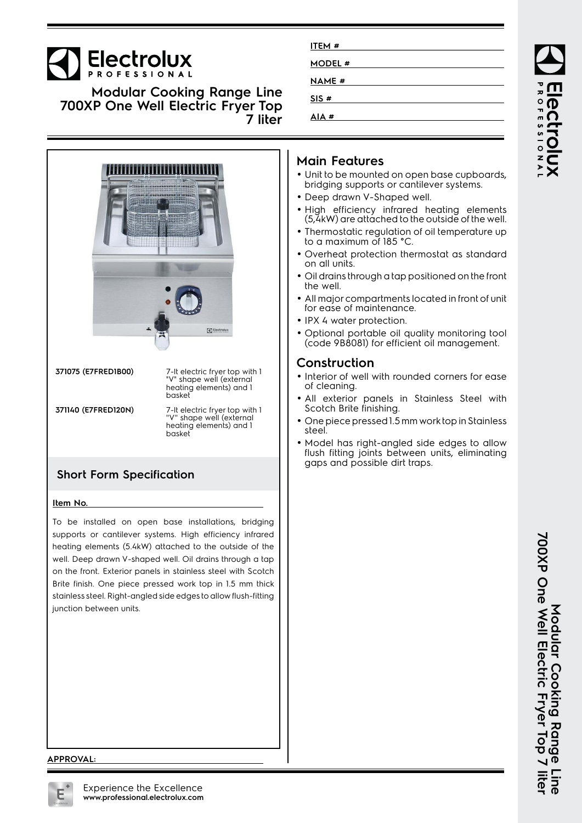# **Electrolux**

**Modular Cooking Range Line 700XP One Well Electric Fryer Top 7 liter**



**371075 (E7FRED1B00)** 7-lt electric fryer top with 1 "V" shape well (external heating elements) and 1 basket **371140 (E7FRED120N)** 7-lt electric fryer top with 1 ''V'' shape well (external heating elements) and 1 basket

#### **Short Form Specification**

#### **Item No.**

To be installed on open base installations, bridging supports or cantilever systems. High efficiency infrared heating elements (5.4kW) attached to the outside of the well. Deep drawn V-shaped well. Oil drains through a tap on the front. Exterior panels in stainless steel with Scotch Brite finish. One piece pressed work top in 1.5 mm thick stainless steel. Right-angled side edges to allow flush-fitting junction between units.

| ITEM #        |  |
|---------------|--|
| <b>MODEL#</b> |  |
| <b>NAME</b> # |  |
|               |  |
| SIS#          |  |
| AIA#          |  |

### **Main Features**

- Unit to be mounted on open base cupboards, bridging supports or cantilever systems.
- Deep drawn V-Shaped well.
- High efficiency infrared heating elements (5,4kW) are attached to the outside of the well.
- Thermostatic regulation of oil temperature up to a maximum of 185 °C.
- Overheat protection thermostat as standard on all units.
- • Oil drains through a tap positioned on the front the well.
- • All major compartments located in front of unit for ease of maintenance.
- IPX 4 water protection.
- Optional portable oil quality monitoring tool (code 9B8081) for efficient oil management.

#### **Construction**

- Interior of well with rounded corners for ease of cleaning.
- • All exterior panels in Stainless Steel with Scotch Brite finishing.
- One piece pressed 1.5 mm work top in Stainless steel.
- • Model has right-angled side edges to allow flush fitting joints between units, eliminating gaps and possible dirt traps.

#### **APPROVAL:**

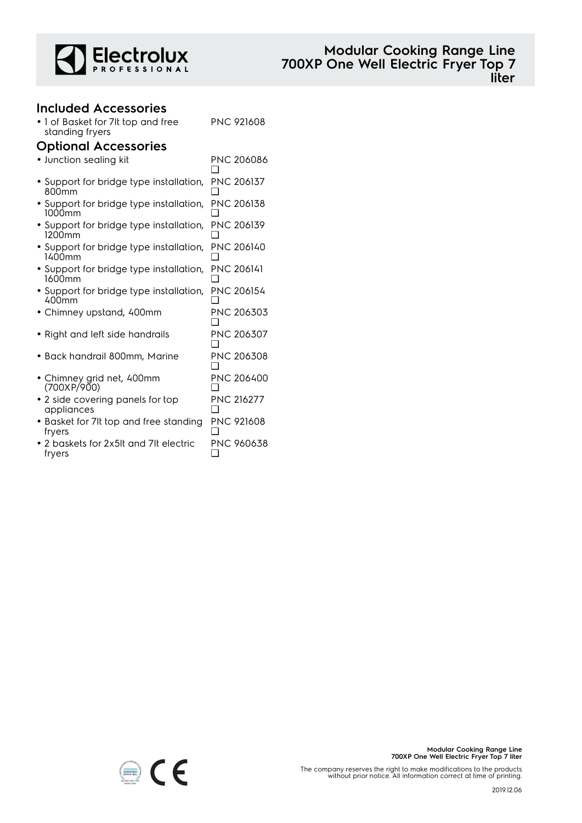

## **Included Accessories**

| • 1 of Basket for 7It top and free<br>standing fryers        | <b>PNC 921608</b>        |  |  |
|--------------------------------------------------------------|--------------------------|--|--|
| <b>Optional Accessories</b>                                  |                          |  |  |
| · Junction sealing kit                                       | <b>PNC 206086</b><br>l 1 |  |  |
| • Support for bridge type installation,<br>800 <sub>mm</sub> | <b>PNC 206137</b>        |  |  |
| • Support for bridge type installation,<br>1000mm            | <b>PNC 206138</b>        |  |  |
| • Support for bridge type installation,<br>1200mm            | PNC 206139               |  |  |
| • Support for bridge type installation,<br>1400mm            | <b>PNC 206140</b>        |  |  |
| • Support for bridge type installation,<br>1600mm            | <b>PNC 206141</b>        |  |  |
| • Support for bridge type installation,<br>400mm             | <b>PNC 206154</b>        |  |  |
| • Chimney upstand, 400mm                                     | PNC 206303               |  |  |
| • Right and left side handrails                              | PNC 206307               |  |  |
| • Back handrail 800mm, Marine                                | <b>PNC 206308</b>        |  |  |
| • Chimney grid net, 400mm<br>(700XP/900)                     | <b>PNC 206400</b>        |  |  |
| • 2 side covering panels for top<br>appliances               | <b>PNC 216277</b>        |  |  |
| • Basket for 7It top and free standing<br>fryers             | <b>PNC 921608</b>        |  |  |
| $\bullet$ 2 baskets for 2x5It and 7It electric<br>fryers     | PNC 960638               |  |  |